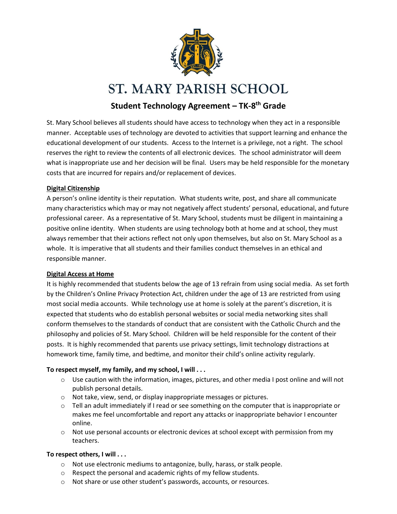

# **ST. MARY PARISH SCHOOL**

# **Student Technology Agreement – TK-8 th Grade**

St. Mary School believes all students should have access to technology when they act in a responsible manner. Acceptable uses of technology are devoted to activities that support learning and enhance the educational development of our students. Access to the Internet is a privilege, not a right. The school reserves the right to review the contents of all electronic devices. The school administrator will deem what is inappropriate use and her decision will be final. Users may be held responsible for the monetary costs that are incurred for repairs and/or replacement of devices.

#### **Digital Citizenship**

A person's online identity is their reputation. What students write, post, and share all communicate many characteristics which may or may not negatively affect students' personal, educational, and future professional career. As a representative of St. Mary School, students must be diligent in maintaining a positive online identity. When students are using technology both at home and at school, they must always remember that their actions reflect not only upon themselves, but also on St. Mary School as a whole. It is imperative that all students and their families conduct themselves in an ethical and responsible manner.

#### **Digital Access at Home**

It is highly recommended that students below the age of 13 refrain from using social media. As set forth by the Children's Online Privacy Protection Act, children under the age of 13 are restricted from using most social media accounts. While technology use at home is solely at the parent's discretion, it is expected that students who do establish personal websites or social media networking sites shall conform themselves to the standards of conduct that are consistent with the Catholic Church and the philosophy and policies of St. Mary School. Children will be held responsible for the content of their posts. It is highly recommended that parents use privacy settings, limit technology distractions at homework time, family time, and bedtime, and monitor their child's online activity regularly.

## **To respect myself, my family, and my school, I will . . .**

- $\circ$  Use caution with the information, images, pictures, and other media I post online and will not publish personal details.
- o Not take, view, send, or display inappropriate messages or pictures.
- $\circ$  Tell an adult immediately if I read or see something on the computer that is inappropriate or makes me feel uncomfortable and report any attacks or inappropriate behavior I encounter online.
- $\circ$  Not use personal accounts or electronic devices at school except with permission from my teachers.

## **To respect others, I will . . .**

- o Not use electronic mediums to antagonize, bully, harass, or stalk people.
- o Respect the personal and academic rights of my fellow students.
- o Not share or use other student's passwords, accounts, or resources.